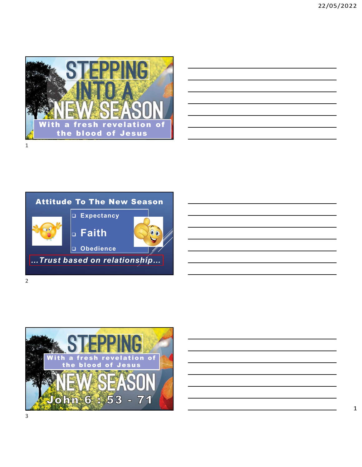

| <u> 1989 - Johann Stoff, deutscher Stoff, der Stoff, der Stoff, der Stoff, der Stoff, der Stoff, der Stoff, der S</u>  |  |                                              |  |
|------------------------------------------------------------------------------------------------------------------------|--|----------------------------------------------|--|
| <u> 1989 - Johann Barn, fransk politik (f. 1989)</u>                                                                   |  |                                              |  |
| <u> 1989 - Johann Stoff, deutscher Stoffen und der Stoffen und der Stoffen und der Stoffen und der Stoffen und der</u> |  |                                              |  |
|                                                                                                                        |  | the control of the control of the control of |  |
| <u> 1989 - Johann Stoff, deutscher Stoffen und der Stoffen und der Stoffen und der Stoffen und der Stoffen und der</u> |  |                                              |  |
| <u> 1989 - Johann Stoff, amerikansk politiker (d. 1989)</u>                                                            |  |                                              |  |
|                                                                                                                        |  |                                              |  |



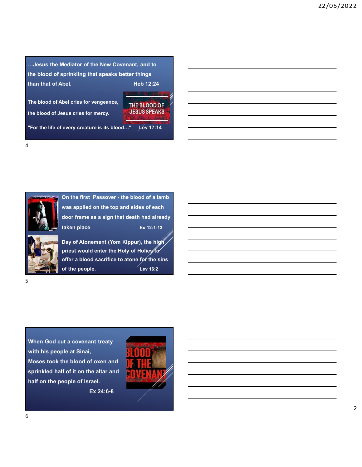mate the Mediator of the New Covenant, and to<br>the blood of sprinkling that speaks better things<br>than that of Abel.<br>The blood of Abel cries for venneance The blood of sprinkling that speaks better things<br>than that of Abel.<br>The blood of Abel cries for vengeance,<br>the blood of Abel cries for vengeance,<br>the blood of Abel cries for vengeance,<br> $\frac{1}{\sqrt{1 + 810000}}$  OF The blood of sprinkling that speaks better things<br>than that of Abel.<br>The blood of Abel cries for vengeance,<br>the blood of Abel cries for vengeance,<br>the blood of Jesus cries for mercy. The blood of Abel cries for vengeance, THE BLOOD OF the blood of Jesus cries for mercy. ...Jesus the Mediator of the New Covenant, and to<br>the blood of sprinkling that speaks better things<br>than that of Abel.<br>The blood of Abel cries for vengeance,<br>THE BLOOD OF<br>The blood of Jesus cries for wengeance,<br>The blood o Mediator of the New Covenant, and to<br>
sprinkling that speaks better things<br>
Meb 12:24<br>
bel cries for mercy,<br>
THE BLOOD OF<br>
SUSS SPEAKS<br>
NESUS SPEAKS<br>
NESUS SPEAKS<br>
NESUS SPEAKS<br>
New creature is its blood..."<br>  $\frac{164 \times 17 \$ 

4





was applied on the top and sides of each door frame as a sign that death had already taken place Ex 12:1-13 bel cries for vengeance,<br>
THE BLOOD OF<br>
sus cries for mercy,<br>
very creature is its blood..."  $\frac{1}{2}$   $\frac{1}{2}$   $\frac{1}{2}$   $\frac{1}{2}$   $\frac{1}{2}$   $\frac{1}{2}$ <br>
On the first Passover - the blood of a lamb<br>
was applied on the top bet crise for vengeance,<br>
THE BLOOD OF<br>
states for mercy,<br>
wery creature is its blood...\*<br>
year of racking the Holies to the Holies to the Holies to the Holies to the Holies to the Holies to the Holies to the Holies the Ho

offer a blood sacrifice to atone for the sins of the people. **Example 16:2** 

 $5<sub>5</sub>$ 

When God cut a covenant treaty with his people at Sinai, We a spinted of the particle and the blood of oxen and the blood of oxen and the blood of the sine of the blood oxerifice to above for the sine of the people.<br>
When God cut a covenant treaty<br>
when God cut a covenant treaty sprinkled half of it on the altar and half on the people of Israel.



Ex 24:6-8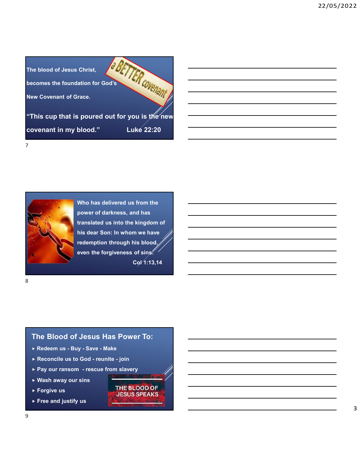



Who has delivered us from the power of darkness, and has translated us into the kingdom of redemption through his blood, even the forgiveness of sins.  $C_0$  $(1:13,14)$ Who has delivered us from the<br>
power of darkness, and has<br>
translated us into the kingdom of<br>
nis dear Son: In whom we have<br>
redemption through his blood<br>
even the forgiveness of sins.<br>
Col<sup>1</sup>1:13,14<br>
Col<sup>1</sup>1:13,14<br>
The Bl Power of darkness, and has<br>
translated us into the kingdom of<br>
inis dear Son: In whom we have<br>
rectemption through his blood<br>
even the forgiveness of sins:<br>
Cgl'1:13,14<br>
The Blood of Jesus Has Power To:<br>
Predeem us - Buy -Francisco us into the kingdom of<br>
Insiders Son: In whom we have<br>
redemption through his blood<br>
even the forgiveness of sing<br>
equals that the conditions of sing<br>
Cgl 1:13,14<br>
Pay our ransom - rescue from slavery<br>
Pay our ra

## The Blood of Jesus Has Power To:

8 and 2010 and 2010 and 2010 and 2010 and 2010 and 2010 and 2010 and 2010 and 2010 and 2010 and 2010 and 2010

- 
- 
- ▶ Wash away our sins
- Forgive us Forgive us FEBLOOD OF
- $\triangleright$  Free and justify us

9